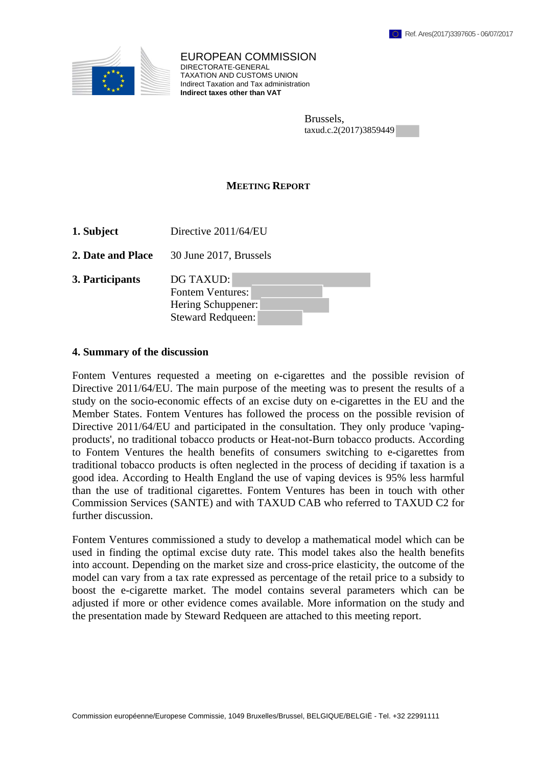

EUROPEAN COMMISSION DIRECTORATE-GENERAL TAXATION AND CUSTOMS UNION Indirect Taxation and Tax administration **Indirect taxes other than VAT**

> Brussels, taxud.c.2(2017)3859449

## **MEETING REPORT**

- **1. Subject** Directive 2011/64/EU
- **2. Date and Place** 30 June 2017, Brussels

| 3. Participants | DG TAXUD:                |
|-----------------|--------------------------|
|                 | <b>Fontem Ventures:</b>  |
|                 | Hering Schuppener:       |
|                 | <b>Steward Redqueen:</b> |

## **4. Summary of the discussion**

Fontem Ventures requested a meeting on e-cigarettes and the possible revision of Directive 2011/64/EU. The main purpose of the meeting was to present the results of a study on the socio-economic effects of an excise duty on e-cigarettes in the EU and the Member States. Fontem Ventures has followed the process on the possible revision of Directive 2011/64/EU and participated in the consultation. They only produce 'vapingproducts', no traditional tobacco products or Heat-not-Burn tobacco products. According to Fontem Ventures the health benefits of consumers switching to e-cigarettes from traditional tobacco products is often neglected in the process of deciding if taxation is a good idea. According to Health England the use of vaping devices is 95% less harmful than the use of traditional cigarettes. Fontem Ventures has been in touch with other Commission Services (SANTE) and with TAXUD CAB who referred to TAXUD C2 for further discussion.

Fontem Ventures commissioned a study to develop a mathematical model which can be used in finding the optimal excise duty rate. This model takes also the health benefits into account. Depending on the market size and cross-price elasticity, the outcome of the model can vary from a tax rate expressed as percentage of the retail price to a subsidy to boost the e-cigarette market. The model contains several parameters which can be adjusted if more or other evidence comes available. More information on the study and the presentation made by Steward Redqueen are attached to this meeting report.